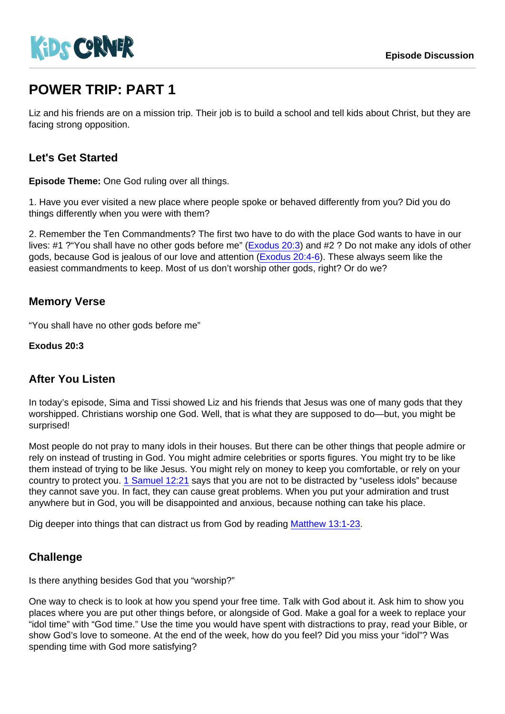# POWER TRIP: PART 1

Liz and his friends are on a mission trip. Their job is to build a school and tell kids about Christ, but they are facing strong opposition.

## Let's Get Started

Episode Theme: One God ruling over all things.

1. Have you ever visited a new place where people spoke or behaved differently from you? Did you do things differently when you were with them?

2. Remember the Ten Commandments? The first two have to do with the place God wants to have in our lives: #1 ?"You shall have no other gods before me" ([Exodus 20:3\)](https://www.biblegateway.com/passage/?search=Exodus+20:3) and #2 ? Do not make any idols of other gods, because God is jealous of our love and attention [\(Exodus 20:4-6](https://www.biblegateway.com/passage/?search=Exodus+20:4-6)). These always seem like the easiest commandments to keep. Most of us don't worship other gods, right? Or do we?

### Memory Verse

"You shall have no other gods before me"

Exodus 20:3

#### After You Listen

In today's episode, Sima and Tissi showed Liz and his friends that Jesus was one of many gods that they worshipped. Christians worship one God. Well, that is what they are supposed to do—but, you might be surprised!

Most people do not pray to many idols in their houses. But there can be other things that people admire or rely on instead of trusting in God. You might admire celebrities or sports figures. You might try to be like them instead of trying to be like Jesus. You might rely on money to keep you comfortable, or rely on your country to protect you. [1 Samuel 12:21](https://www.biblegateway.com/passage/?search=1+Samuel+12:21) says that you are not to be distracted by "useless idols" because they cannot save you. In fact, they can cause great problems. When you put your admiration and trust anywhere but in God, you will be disappointed and anxious, because nothing can take his place.

Dig deeper into things that can distract us from God by reading [Matthew 13:1-23.](https://www.biblegateway.com/passage/?search=Matthew+13:1-23)

#### **Challenge**

Is there anything besides God that you "worship?"

One way to check is to look at how you spend your free time. Talk with God about it. Ask him to show you places where you are put other things before, or alongside of God. Make a goal for a week to replace your "idol time" with "God time." Use the time you would have spent with distractions to pray, read your Bible, or show God's love to someone. At the end of the week, how do you feel? Did you miss your "idol"? Was spending time with God more satisfying?